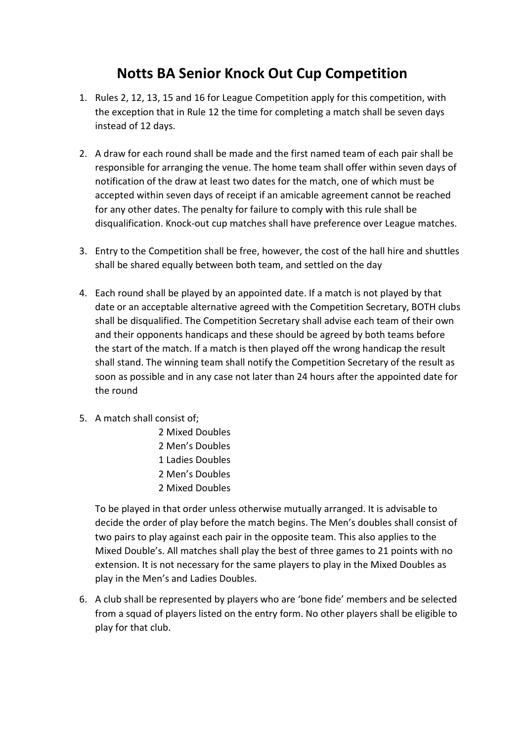## Notts BA Senior Knock Out Cup Competition

- 1. Rules 2, 12, 13, 15 and 16 for League Competition apply for this competition, with the exception that in Rule 12 the time for completing a match shall be seven days instead of 12 days.
- 2. A draw for each round shall be made and the first named team of each pair shall be responsible for arranging the venue. The home team shall offer within seven days of notification of the draw at least two dates for the match, one of which must be accepted within seven days of receipt if an amicable agreement cannot be reached for any other dates. The penalty for failure to comply with this rule shall be disqualification. Knock-out cup matches shall have preference over League matches.
- 3. Entry to the Competition shall be free, however, the cost of the hall hire and shuttles shall be shared equally between both team, and settled on the day
- 4. Each round shall be played by an appointed date. If a match is not played by that date or an acceptable alternative agreed with the Competition Secretary, BOTH clubs shall be disqualified. The Competition Secretary shall advise each team of their own and their opponents handicaps and these should be agreed by both teams before the start of the match. If a match is then played off the wrong handicap the result shall stand. The winning team shall notify the Competition Secretary of the result as soon as possible and in any case not later than 24 hours after the appointed date for the round
- 5. A match shall consist of;
	- 2 Mixed Doubles 2 Men's Doubles 1 Ladies Doubles 2 Men's Doubles 2 Mixed Doubles

To be played in that order unless otherwise mutually arranged. It is advisable to decide the order of play before the match begins. The Men's doubles shall consist of two pairs to play against each pair in the opposite team. This also applies to the Mixed Double's. All matches shall play the best of three games to 21 points with no extension. It is not necessary for the same players to play in the Mixed Doubles as play in the Men's and Ladies Doubles.

6. A club shall be represented by players who are 'bone fide' members and be selected from a squad of players listed on the entry form. No other players shall be eligible to play for that club.